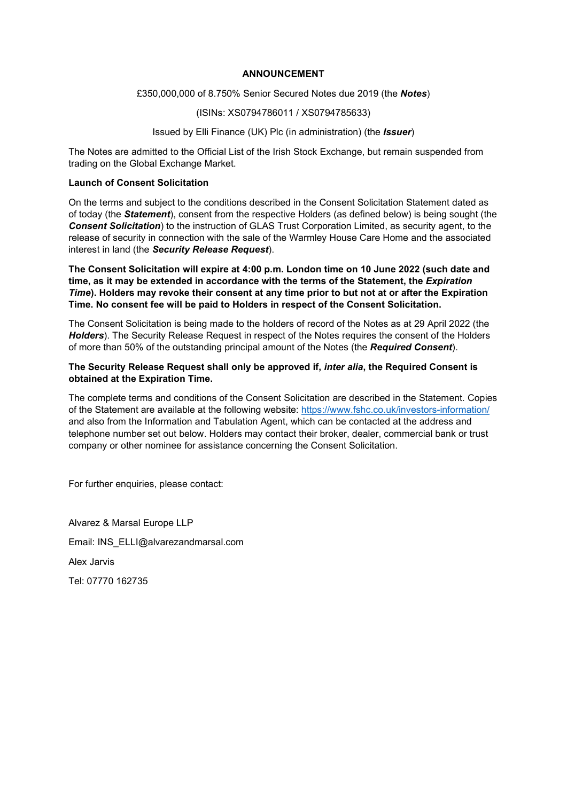# ANNOUNCEMENT

#### £350,000,000 of 8.750% Senior Secured Notes due 2019 (the Notes)

#### (ISINs: XS0794786011 / XS0794785633)

# Issued by Elli Finance (UK) Plc (in administration) (the *Issuer*)

The Notes are admitted to the Official List of the Irish Stock Exchange, but remain suspended from trading on the Global Exchange Market.

# Launch of Consent Solicitation

On the terms and subject to the conditions described in the Consent Solicitation Statement dated as of today (the **Statement**), consent from the respective Holders (as defined below) is being sought (the **Consent Solicitation**) to the instruction of GLAS Trust Corporation Limited, as security agent, to the release of security in connection with the sale of the Warmley House Care Home and the associated interest in land (the Security Release Request).

The Consent Solicitation will expire at 4:00 p.m. London time on 10 June 2022 (such date and time, as it may be extended in accordance with the terms of the Statement, the *Expiration* Time). Holders may revoke their consent at any time prior to but not at or after the Expiration Time. No consent fee will be paid to Holders in respect of the Consent Solicitation.

The Consent Solicitation is being made to the holders of record of the Notes as at 29 April 2022 (the Holders). The Security Release Request in respect of the Notes requires the consent of the Holders of more than 50% of the outstanding principal amount of the Notes (the Required Consent).

#### The Security Release Request shall only be approved if, inter alia, the Required Consent is obtained at the Expiration Time.

The complete terms and conditions of the Consent Solicitation are described in the Statement. Copies of the Statement are available at the following website: https://www.fshc.co.uk/investors-information/ and also from the Information and Tabulation Agent, which can be contacted at the address and telephone number set out below. Holders may contact their broker, dealer, commercial bank or trust company or other nominee for assistance concerning the Consent Solicitation.

For further enquiries, please contact:

Alvarez & Marsal Europe LLP Email: INS\_ELLI@alvarezandmarsal.com Alex Jarvis Tel: 07770 162735